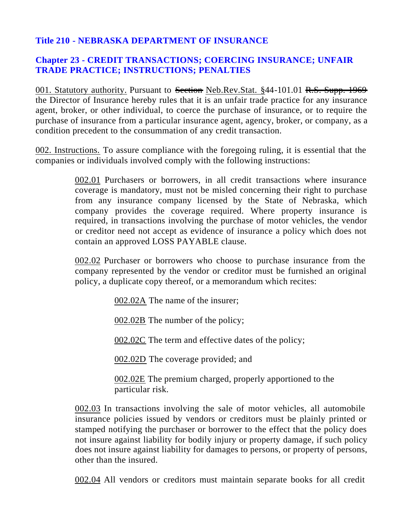## **Title 210 - NEBRASKA DEPARTMENT OF INSURANCE**

## **Chapter 23 - CREDIT TRANSACTIONS; COERCING INSURANCE; UNFAIR TRADE PRACTICE; INSTRUCTIONS; PENALTIES**

001. Statutory authority. Pursuant to Section Neb.Rev.Stat. §44-101.01 R.S. Supp. 1969 the Director of Insurance hereby rules that it is an unfair trade practice for any insurance agent, broker, or other individual, to coerce the purchase of insurance, or to require the purchase of insurance from a particular insurance agent, agency, broker, or company, as a condition precedent to the consummation of any credit transaction.

002. Instructions. To assure compliance with the foregoing ruling, it is essential that the companies or individuals involved comply with the following instructions:

> 002.01 Purchasers or borrowers, in all credit transactions where insurance coverage is mandatory, must not be misled concerning their right to purchase from any insurance company licensed by the State of Nebraska, which company provides the coverage required. Where property insurance is required, in transactions involving the purchase of motor vehicles, the vendor or creditor need not accept as evidence of insurance a policy which does not contain an approved LOSS PAYABLE clause.

> 002.02 Purchaser or borrowers who choose to purchase insurance from the company represented by the vendor or creditor must be furnished an original policy, a duplicate copy thereof, or a memorandum which recites:

> > 002.02A The name of the insurer;

002.02B The number of the policy;

002.02C The term and effective dates of the policy;

002.02D The coverage provided; and

002.02E The premium charged, properly apportioned to the particular risk.

002.03 In transactions involving the sale of motor vehicles, all automobile insurance policies issued by vendors or creditors must be plainly printed or stamped notifying the purchaser or borrower to the effect that the policy does not insure against liability for bodily injury or property damage, if such policy does not insure against liability for damages to persons, or property of persons, other than the insured.

002.04 All vendors or creditors must maintain separate books for all credit